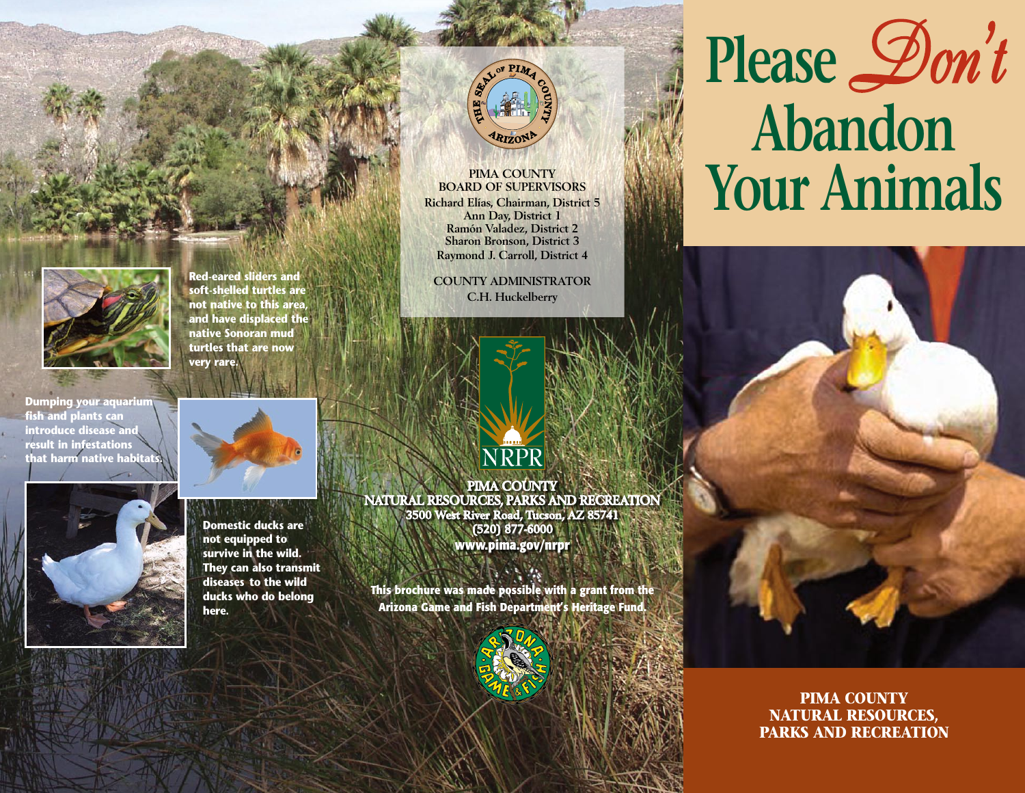

**Red-eared sliders and soft-shelled turtles are not native to this area, and have displaced the native Sonoran mud turtles that are now very rare.**

**Dumping your aquarium fish and plants can introduce disease and result in infestations that harm native habitats.**





**Domestic ducks are not equipped to survive in the wild. They can also transmit diseases to the wild ducks who do belong here.**



**PIMA COUNTY BOARD OF SUPERVISORS Richard Elías, Chairman, District 5 Ann Day, District 1 Ramón Valadez, District 2 Sharon Bronson, District 3 Raymond J. Carroll, District 4**

**COUNTY ADMINISTRATOR C.H. Huckelberry**



**PIMA COUNTY NATURAL RESOURCES, PARKS AND RECREATION 3500 West River Road, Tucson, AZ 85741 (520) 877-6000 www.pima.gov/nrpr**

**This brochure was made possible with a grant from the Arizona Game and Fish Department's Heritage Fund** 



## **Please***Don't* **Abandon Your Animals**

**PIMA COUNTY NATURAL RESOURCES, PARKS AND RECREATION**